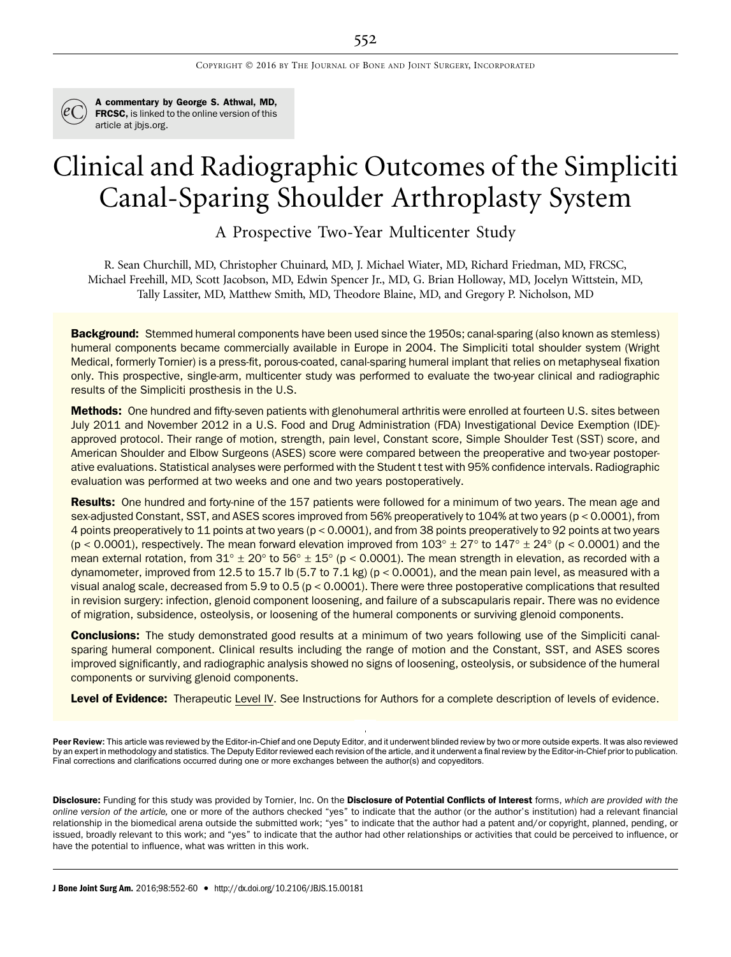

A commentary by George S. Athwal, MD, FRCSC, is linked to the online version of this article at jbjs.org.

# Clinical and Radiographic Outcomes of the Simpliciti Canal-Sparing Shoulder Arthroplasty System

A Prospective Two-Year Multicenter Study

R. Sean Churchill, MD, Christopher Chuinard, MD, J. Michael Wiater, MD, Richard Friedman, MD, FRCSC, Michael Freehill, MD, Scott Jacobson, MD, Edwin Spencer Jr., MD, G. Brian Holloway, MD, Jocelyn Wittstein, MD, Tally Lassiter, MD, Matthew Smith, MD, Theodore Blaine, MD, and Gregory P. Nicholson, MD

**Background:** Stemmed humeral components have been used since the 1950s; canal-sparing (also known as stemless) humeral components became commercially available in Europe in 2004. The Simpliciti total shoulder system (Wright Medical, formerly Tornier) is a press-fit, porous-coated, canal-sparing humeral implant that relies on metaphyseal fixation only. This prospective, single-arm, multicenter study was performed to evaluate the two-year clinical and radiographic results of the Simpliciti prosthesis in the U.S.

Methods: One hundred and fifty-seven patients with glenohumeral arthritis were enrolled at fourteen U.S. sites between July 2011 and November 2012 in a U.S. Food and Drug Administration (FDA) Investigational Device Exemption (IDE) approved protocol. Their range of motion, strength, pain level, Constant score, Simple Shoulder Test (SST) score, and American Shoulder and Elbow Surgeons (ASES) score were compared between the preoperative and two-year postoperative evaluations. Statistical analyses were performed with the Student t test with 95% confidence intervals. Radiographic evaluation was performed at two weeks and one and two years postoperatively.

Results: One hundred and forty-nine of the 157 patients were followed for a minimum of two years. The mean age and sex-adjusted Constant, SST, and ASES scores improved from 56% preoperatively to 104% at two years (p < 0.0001), from 4 points preoperatively to 11 points at two years (p < 0.0001), and from 38 points preoperatively to 92 points at two years (p < 0.0001), respectively. The mean forward elevation improved from  $103^\circ \pm 27^\circ$  to  $147^\circ \pm 24^\circ$  (p < 0.0001) and the mean external rotation, from  $31^\circ \pm 20^\circ$  to  $56^\circ \pm 15^\circ$  (p < 0.0001). The mean strength in elevation, as recorded with a dynamometer, improved from 12.5 to 15.7 lb (5.7 to 7.1 kg) ( $p < 0.0001$ ), and the mean pain level, as measured with a visual analog scale, decreased from  $5.9$  to  $0.5$  ( $p < 0.0001$ ). There were three postoperative complications that resulted in revision surgery: infection, glenoid component loosening, and failure of a subscapularis repair. There was no evidence of migration, subsidence, osteolysis, or loosening of the humeral components or surviving glenoid components.

**Conclusions:** The study demonstrated good results at a minimum of two years following use of the Simpliciti canalsparing humeral component. Clinical results including the range of motion and the Constant, SST, and ASES scores improved significantly, and radiographic analysis showed no signs of loosening, osteolysis, or subsidence of the humeral components or surviving glenoid components.

Level of Evidence: Therapeutic Level IV. See Instructions for Authors for a complete description of levels of evidence.

Peer Review: This article was reviewed by the Editor-in-Chief and one Deputy Editor, and it underwent blinded review by two or more outside experts. It was also reviewed by an expert in methodology and statistics. The Deputy Editor reviewed each revision of the article, and it underwent a final review by the Editor-in-Chief prior to publication. Final corrections and clarifications occurred during one or more exchanges between the author(s) and copyeditors.

Disclosure: Funding for this study was provided by Tornier, Inc. On the Disclosure of Potential Conflicts of Interest forms, which are provided with the online version of the article, one or more of the authors checked "yes" to indicate that the author (or the author's institution) had a relevant financial relationship in the biomedical arena outside the submitted work; "yes" to indicate that the author had a patent and/or copyright, planned, pending, or issued, broadly relevant to this work; and "yes" to indicate that the author had other relationships or activities that could be perceived to influence, or have the potential to influence, what was written in this work.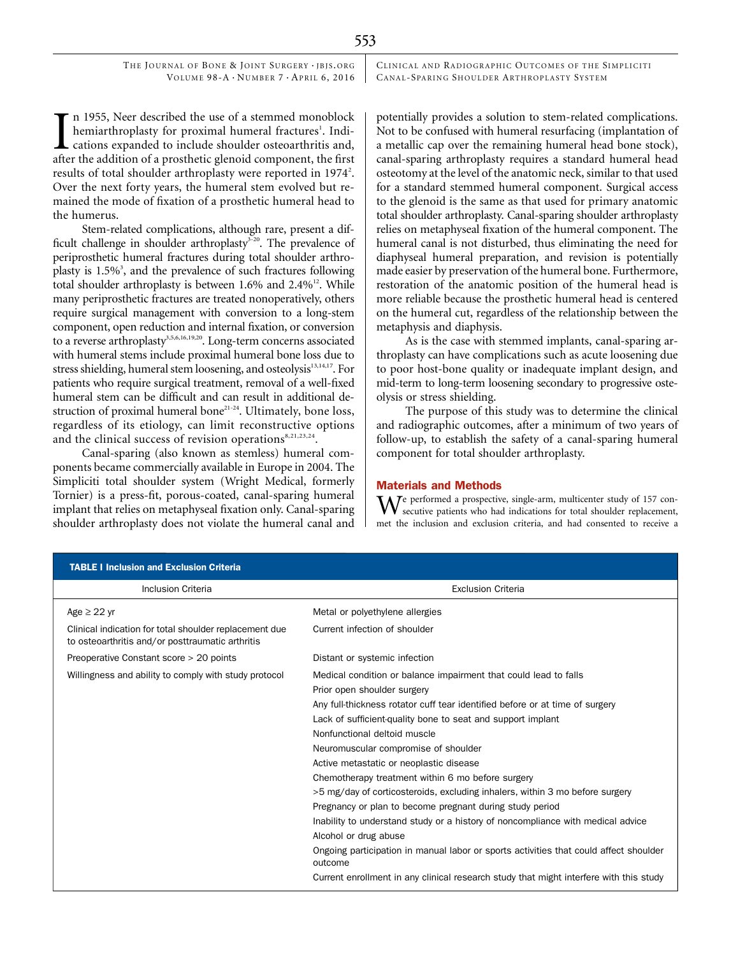THE JOURNAL OF BONE & JOINT SURGERY · JBJS.ORG VOLUME  $98-A \cdot N$ UMBER  $7 \cdot$ APRIL 6, 2016 CLINICAL AND RADIOGRAPHIC OUTCOMES OF THE SIMPLICITI CANAL-SPARING SHOULDER ARTHROPLASTY SYSTEM

In 1955, Neer described the use of a stemmed monoblock hemiarthroplasty for proximal humeral fractures'. Indications expanded to include shoulder osteoarthritis and, after the addition of a prosthetic glenoid component, th n 1955, Neer described the use of a stemmed monoblock hemiarthroplasty for proximal humeral fractures<sup>1</sup>. Indications expanded to include shoulder osteoarthritis and, results of total shoulder arthroplasty were reported in 1974<sup>2</sup>. Over the next forty years, the humeral stem evolved but remained the mode of fixation of a prosthetic humeral head to the humerus.

Stem-related complications, although rare, present a difficult challenge in shoulder arthroplasty<sup>3-20</sup>. The prevalence of periprosthetic humeral fractures during total shoulder arthroplasty is 1.5%<sup>3</sup>, and the prevalence of such fractures following total shoulder arthroplasty is between  $1.6\%$  and  $2.4\%$ <sup>12</sup>. While many periprosthetic fractures are treated nonoperatively, others require surgical management with conversion to a long-stem component, open reduction and internal fixation, or conversion to a reverse arthroplasty<sup>3,5,6,16,19,20</sup>. Long-term concerns associated with humeral stems include proximal humeral bone loss due to stress shielding, humeral stem loosening, and osteolysis<sup>13,14,17</sup>. For patients who require surgical treatment, removal of a well-fixed humeral stem can be difficult and can result in additional destruction of proximal humeral bone<sup>21-24</sup>. Ultimately, bone loss, regardless of its etiology, can limit reconstructive options and the clinical success of revision operations $8,21,23,24$ .

Canal-sparing (also known as stemless) humeral components became commercially available in Europe in 2004. The Simpliciti total shoulder system (Wright Medical, formerly Tornier) is a press-fit, porous-coated, canal-sparing humeral implant that relies on metaphyseal fixation only. Canal-sparing shoulder arthroplasty does not violate the humeral canal and potentially provides a solution to stem-related complications. Not to be confused with humeral resurfacing (implantation of a metallic cap over the remaining humeral head bone stock), canal-sparing arthroplasty requires a standard humeral head osteotomy at the level of the anatomic neck, similar to that used for a standard stemmed humeral component. Surgical access to the glenoid is the same as that used for primary anatomic total shoulder arthroplasty. Canal-sparing shoulder arthroplasty relies on metaphyseal fixation of the humeral component. The humeral canal is not disturbed, thus eliminating the need for diaphyseal humeral preparation, and revision is potentially made easier by preservation of the humeral bone. Furthermore, restoration of the anatomic position of the humeral head is more reliable because the prosthetic humeral head is centered on the humeral cut, regardless of the relationship between the metaphysis and diaphysis.

As is the case with stemmed implants, canal-sparing arthroplasty can have complications such as acute loosening due to poor host-bone quality or inadequate implant design, and mid-term to long-term loosening secondary to progressive osteolysis or stress shielding.

The purpose of this study was to determine the clinical and radiographic outcomes, after a minimum of two years of follow-up, to establish the safety of a canal-sparing humeral component for total shoulder arthroplasty.

#### Materials and Methods

We performed a prospective, single-arm, multicenter study of 157 con-secutive patients who had indications for total shoulder replacement, met the inclusion and exclusion criteria, and had consented to receive a

| <b>TABLE I Inclusion and Exclusion Criteria</b>                                                            |                                                                                                  |  |
|------------------------------------------------------------------------------------------------------------|--------------------------------------------------------------------------------------------------|--|
| <b>Inclusion Criteria</b>                                                                                  | <b>Exclusion Criteria</b>                                                                        |  |
| Age $\geq$ 22 yr                                                                                           | Metal or polyethylene allergies                                                                  |  |
| Clinical indication for total shoulder replacement due<br>to osteoarthritis and/or posttraumatic arthritis | Current infection of shoulder                                                                    |  |
| Preoperative Constant score > 20 points                                                                    | Distant or systemic infection                                                                    |  |
| Willingness and ability to comply with study protocol                                                      | Medical condition or balance impairment that could lead to falls                                 |  |
|                                                                                                            | Prior open shoulder surgery                                                                      |  |
|                                                                                                            | Any full-thickness rotator cuff tear identified before or at time of surgery                     |  |
|                                                                                                            | Lack of sufficient-quality bone to seat and support implant                                      |  |
|                                                                                                            | Nonfunctional deltoid muscle                                                                     |  |
|                                                                                                            | Neuromuscular compromise of shoulder                                                             |  |
|                                                                                                            | Active metastatic or neoplastic disease                                                          |  |
|                                                                                                            | Chemotherapy treatment within 6 mo before surgery                                                |  |
|                                                                                                            | >5 mg/day of corticosteroids, excluding inhalers, within 3 mo before surgery                     |  |
|                                                                                                            | Pregnancy or plan to become pregnant during study period                                         |  |
|                                                                                                            | Inability to understand study or a history of noncompliance with medical advice                  |  |
|                                                                                                            | Alcohol or drug abuse                                                                            |  |
|                                                                                                            | Ongoing participation in manual labor or sports activities that could affect shoulder<br>outcome |  |
|                                                                                                            | Current enrollment in any clinical research study that might interfere with this study           |  |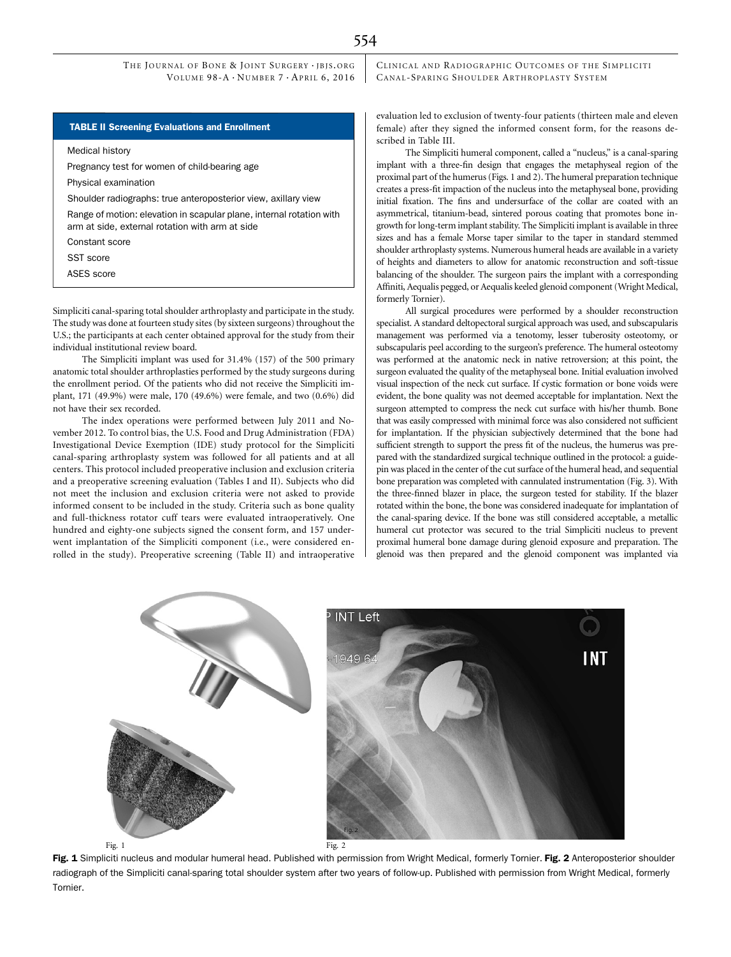THE JOURNAL OF BONE & JOINT SURGERY · JBJS.ORG VOLUME  $98-A \cdot N$ UMBER  $7 \cdot$ APRIL 6, 2016

CLINICAL AND RADIOGRAPHIC OUTCOMES OF THE SIMPLICITI CANAL-SPARING SHOULDER ARTHROPLASTY SYSTEM

TABLE II Screening Evaluations and Enrollment Medical history

Pregnancy test for women of child-bearing age Physical examination Shoulder radiographs: true anteroposterior view, axillary view Range of motion: elevation in scapular plane, internal rotation with arm at side, external rotation with arm at side Constant score SST score ASES score

Simpliciti canal-sparing total shoulder arthroplasty and participate in the study. The study was done at fourteen study sites (by sixteen surgeons) throughout the U.S.; the participants at each center obtained approval for the study from their individual institutional review board.

The Simpliciti implant was used for 31.4% (157) of the 500 primary anatomic total shoulder arthroplasties performed by the study surgeons during the enrollment period. Of the patients who did not receive the Simpliciti implant, 171 (49.9%) were male, 170 (49.6%) were female, and two (0.6%) did not have their sex recorded.

The index operations were performed between July 2011 and November 2012. To control bias, the U.S. Food and Drug Administration (FDA) Investigational Device Exemption (IDE) study protocol for the Simpliciti canal-sparing arthroplasty system was followed for all patients and at all centers. This protocol included preoperative inclusion and exclusion criteria and a preoperative screening evaluation (Tables I and II). Subjects who did not meet the inclusion and exclusion criteria were not asked to provide informed consent to be included in the study. Criteria such as bone quality and full-thickness rotator cuff tears were evaluated intraoperatively. One hundred and eighty-one subjects signed the consent form, and 157 underwent implantation of the Simpliciti component (i.e., were considered enrolled in the study). Preoperative screening (Table II) and intraoperative evaluation led to exclusion of twenty-four patients (thirteen male and eleven female) after they signed the informed consent form, for the reasons described in Table III.

The Simpliciti humeral component, called a "nucleus," is a canal-sparing implant with a three-fin design that engages the metaphyseal region of the proximal part of the humerus (Figs. 1 and 2). The humeral preparation technique creates a press-fit impaction of the nucleus into the metaphyseal bone, providing initial fixation. The fins and undersurface of the collar are coated with an asymmetrical, titanium-bead, sintered porous coating that promotes bone ingrowth for long-term implant stability. The Simpliciti implant is available in three sizes and has a female Morse taper similar to the taper in standard stemmed shoulder arthroplasty systems. Numerous humeral heads are available in a variety of heights and diameters to allow for anatomic reconstruction and soft-tissue balancing of the shoulder. The surgeon pairs the implant with a corresponding Affiniti, Aequalis pegged, or Aequalis keeled glenoid component (Wright Medical, formerly Tornier).

All surgical procedures were performed by a shoulder reconstruction specialist. A standard deltopectoral surgical approach was used, and subscapularis management was performed via a tenotomy, lesser tuberosity osteotomy, or subscapularis peel according to the surgeon's preference. The humeral osteotomy was performed at the anatomic neck in native retroversion; at this point, the surgeon evaluated the quality of the metaphyseal bone. Initial evaluation involved visual inspection of the neck cut surface. If cystic formation or bone voids were evident, the bone quality was not deemed acceptable for implantation. Next the surgeon attempted to compress the neck cut surface with his/her thumb. Bone that was easily compressed with minimal force was also considered not sufficient for implantation. If the physician subjectively determined that the bone had sufficient strength to support the press fit of the nucleus, the humerus was prepared with the standardized surgical technique outlined in the protocol: a guidepin was placed in the center of the cut surface of the humeral head, and sequential bone preparation was completed with cannulated instrumentation (Fig. 3). With the three-finned blazer in place, the surgeon tested for stability. If the blazer rotated within the bone, the bone was considered inadequate for implantation of the canal-sparing device. If the bone was still considered acceptable, a metallic humeral cut protector was secured to the trial Simpliciti nucleus to prevent proximal humeral bone damage during glenoid exposure and preparation. The glenoid was then prepared and the glenoid component was implanted via



Fig. 1 Simpliciti nucleus and modular humeral head. Published with permission from Wright Medical, formerly Tornier. Fig. 2 Anteroposterior shoulder radiograph of the Simpliciti canal-sparing total shoulder system after two years of follow-up. Published with permission from Wright Medical, formerly Tornier.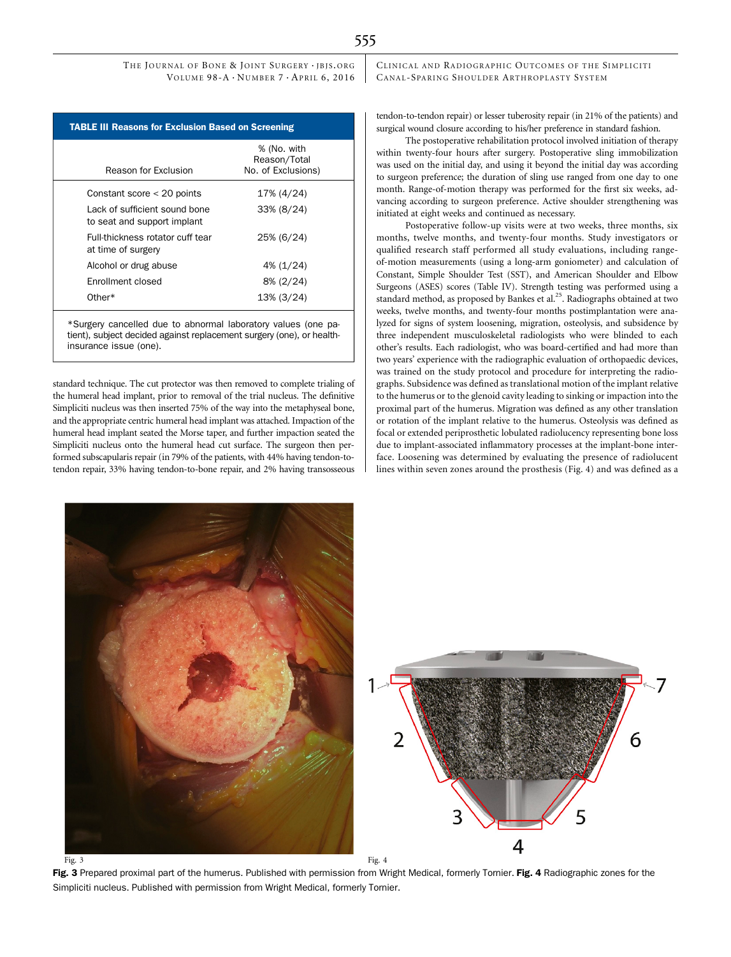THE JOURNAL OF BONE & JOINT SURGERY · JBJS.ORG VOLUME  $98-A \cdot N$ UMBER  $7 \cdot$ APRIL 6, 2016

| <b>TABLE III Reasons for Exclusion Based on Screening</b>    |                                                   |  |  |  |
|--------------------------------------------------------------|---------------------------------------------------|--|--|--|
| Reason for Exclusion                                         | % (No. with<br>Reason/Total<br>No. of Exclusions) |  |  |  |
| Constant score $<$ 20 points                                 | 17% (4/24)                                        |  |  |  |
| Lack of sufficient sound bone<br>to seat and support implant | 33% (8/24)                                        |  |  |  |
| Full-thickness rotator cuff tear<br>at time of surgery       | 25% (6/24)                                        |  |  |  |
| Alcohol or drug abuse                                        | 4% (1/24)                                         |  |  |  |
| <b>Fnrollment closed</b>                                     | 8% (2/24)                                         |  |  |  |
| Other*                                                       | 13% (3/24)                                        |  |  |  |

\*Surgery cancelled due to abnormal laboratory values (one patient), subject decided against replacement surgery (one), or healthinsurance issue (one).

standard technique. The cut protector was then removed to complete trialing of the humeral head implant, prior to removal of the trial nucleus. The definitive Simpliciti nucleus was then inserted 75% of the way into the metaphyseal bone, and the appropriate centric humeral head implant was attached. Impaction of the humeral head implant seated the Morse taper, and further impaction seated the Simpliciti nucleus onto the humeral head cut surface. The surgeon then performed subscapularis repair (in 79% of the patients, with 44% having tendon-totendon repair, 33% having tendon-to-bone repair, and 2% having transosseous CLINICAL AND RADIOGRAPHIC OUTCOMES OF THE SIMPLICITI CANAL-SPARING SHOULDER ARTHROPLASTY SYSTEM

tendon-to-tendon repair) or lesser tuberosity repair (in 21% of the patients) and surgical wound closure according to his/her preference in standard fashion.

The postoperative rehabilitation protocol involved initiation of therapy within twenty-four hours after surgery. Postoperative sling immobilization was used on the initial day, and using it beyond the initial day was according to surgeon preference; the duration of sling use ranged from one day to one month. Range-of-motion therapy was performed for the first six weeks, advancing according to surgeon preference. Active shoulder strengthening was initiated at eight weeks and continued as necessary.

Postoperative follow-up visits were at two weeks, three months, six months, twelve months, and twenty-four months. Study investigators or qualified research staff performed all study evaluations, including rangeof-motion measurements (using a long-arm goniometer) and calculation of Constant, Simple Shoulder Test (SST), and American Shoulder and Elbow Surgeons (ASES) scores (Table IV). Strength testing was performed using a standard method, as proposed by Bankes et al.<sup>25</sup>. Radiographs obtained at two weeks, twelve months, and twenty-four months postimplantation were analyzed for signs of system loosening, migration, osteolysis, and subsidence by three independent musculoskeletal radiologists who were blinded to each other's results. Each radiologist, who was board-certified and had more than two years' experience with the radiographic evaluation of orthopaedic devices, was trained on the study protocol and procedure for interpreting the radiographs. Subsidence was defined as translational motion of the implant relative to the humerus or to the glenoid cavity leading to sinking or impaction into the proximal part of the humerus. Migration was defined as any other translation or rotation of the implant relative to the humerus. Osteolysis was defined as focal or extended periprosthetic lobulated radiolucency representing bone loss due to implant-associated inflammatory processes at the implant-bone interface. Loosening was determined by evaluating the presence of radiolucent lines within seven zones around the prosthesis (Fig. 4) and was defined as a



Fig. 3 Prepared proximal part of the humerus. Published with permission from Wright Medical, formerly Tornier. Fig. 4 Radiographic zones for the Simpliciti nucleus. Published with permission from Wright Medical, formerly Tornier.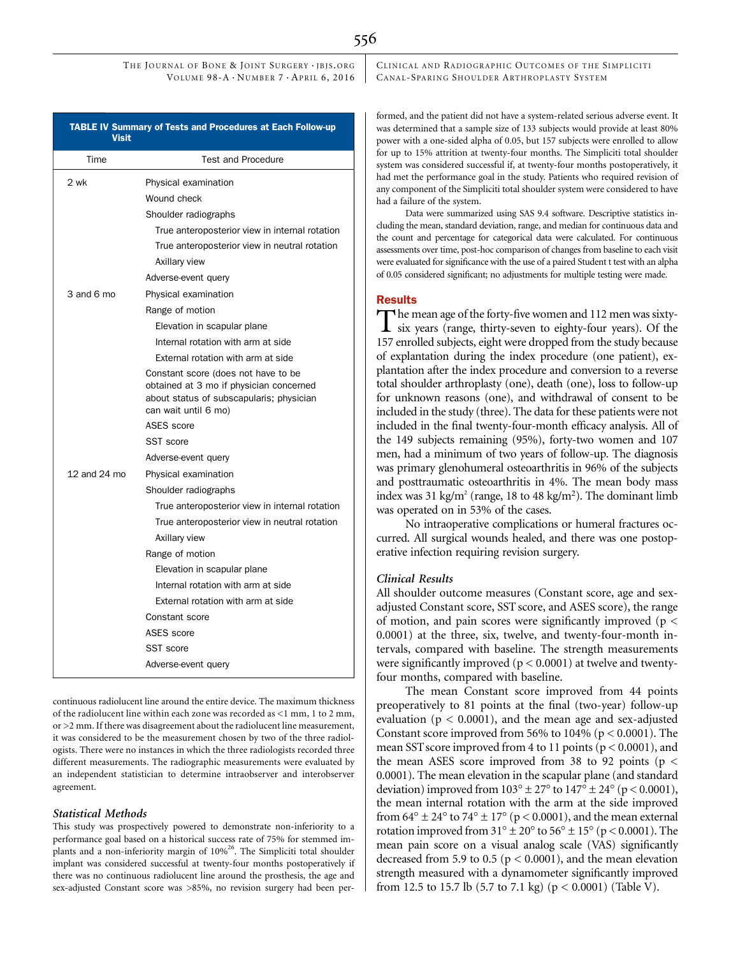| <b>TABLE IV Summary of Tests and Procedures at Each Follow-up</b><br><b>Visit</b> |                                                                                                                                                    |  |  |  |
|-----------------------------------------------------------------------------------|----------------------------------------------------------------------------------------------------------------------------------------------------|--|--|--|
| Time                                                                              | <b>Test and Procedure</b>                                                                                                                          |  |  |  |
| 2 wk                                                                              | Physical examination<br>Wound check                                                                                                                |  |  |  |
|                                                                                   | Shoulder radiographs                                                                                                                               |  |  |  |
|                                                                                   | True anteroposterior view in internal rotation                                                                                                     |  |  |  |
|                                                                                   | True anteroposterior view in neutral rotation                                                                                                      |  |  |  |
|                                                                                   | Axillary view                                                                                                                                      |  |  |  |
|                                                                                   | Adverse-event query                                                                                                                                |  |  |  |
| 3 and 6 mo                                                                        | Physical examination                                                                                                                               |  |  |  |
|                                                                                   | Range of motion                                                                                                                                    |  |  |  |
|                                                                                   | Elevation in scapular plane                                                                                                                        |  |  |  |
|                                                                                   | Internal rotation with arm at side                                                                                                                 |  |  |  |
|                                                                                   | External rotation with arm at side                                                                                                                 |  |  |  |
|                                                                                   | Constant score (does not have to be<br>obtained at 3 mo if physician concerned<br>about status of subscapularis; physician<br>can wait until 6 mo) |  |  |  |
|                                                                                   | ASES score                                                                                                                                         |  |  |  |
|                                                                                   | SST score                                                                                                                                          |  |  |  |
|                                                                                   | Adverse-event query                                                                                                                                |  |  |  |
| 12 and 24 mo                                                                      | Physical examination                                                                                                                               |  |  |  |
|                                                                                   | Shoulder radiographs                                                                                                                               |  |  |  |
|                                                                                   | True anteroposterior view in internal rotation                                                                                                     |  |  |  |
|                                                                                   | True anteroposterior view in neutral rotation                                                                                                      |  |  |  |
|                                                                                   | Axillary view                                                                                                                                      |  |  |  |
|                                                                                   | Range of motion                                                                                                                                    |  |  |  |
|                                                                                   | Elevation in scapular plane                                                                                                                        |  |  |  |
|                                                                                   | Internal rotation with arm at side                                                                                                                 |  |  |  |
|                                                                                   | External rotation with arm at side                                                                                                                 |  |  |  |
|                                                                                   | Constant score                                                                                                                                     |  |  |  |
|                                                                                   | <b>ASES</b> score                                                                                                                                  |  |  |  |
|                                                                                   | SST score                                                                                                                                          |  |  |  |
|                                                                                   | Adverse-event query                                                                                                                                |  |  |  |

continuous radiolucent line around the entire device. The maximum thickness of the radiolucent line within each zone was recorded as <1 mm, 1 to 2 mm, or >2 mm. If there was disagreement about the radiolucent line measurement, it was considered to be the measurement chosen by two of the three radiologists. There were no instances in which the three radiologists recorded three different measurements. The radiographic measurements were evaluated by an independent statistician to determine intraobserver and interobserver agreement.

### Statistical Methods

This study was prospectively powered to demonstrate non-inferiority to a performance goal based on a historical success rate of 75% for stemmed implants and a non-inferiority margin of  $10\%$ <sup>26</sup>. The Simpliciti total shoulder implant was considered successful at twenty-four months postoperatively if there was no continuous radiolucent line around the prosthesis, the age and sex-adjusted Constant score was >85%, no revision surgery had been per-

CLINICAL AND RADIOGRAPHIC OUTCOMES OF THE SIMPLICITI CANAL-SPARING SHOULDER ARTHROPLASTY SYSTEM

formed, and the patient did not have a system-related serious adverse event. It was determined that a sample size of 133 subjects would provide at least 80% power with a one-sided alpha of 0.05, but 157 subjects were enrolled to allow for up to 15% attrition at twenty-four months. The Simpliciti total shoulder system was considered successful if, at twenty-four months postoperatively, it had met the performance goal in the study. Patients who required revision of any component of the Simpliciti total shoulder system were considered to have had a failure of the system.

Data were summarized using SAS 9.4 software. Descriptive statistics including the mean, standard deviation, range, and median for continuous data and the count and percentage for categorical data were calculated. For continuous assessments over time, post-hoc comparison of changes from baseline to each visit were evaluated for significance with the use of a paired Student t test with an alpha of 0.05 considered significant; no adjustments for multiple testing were made.

## Results

 $\blacksquare$  he mean age of the forty-five women and 112 men was sixty- $\perp$  six years (range, thirty-seven to eighty-four years). Of the 157 enrolled subjects, eight were dropped from the study because of explantation during the index procedure (one patient), explantation after the index procedure and conversion to a reverse total shoulder arthroplasty (one), death (one), loss to follow-up for unknown reasons (one), and withdrawal of consent to be included in the study (three). The data for these patients were not included in the final twenty-four-month efficacy analysis. All of the 149 subjects remaining (95%), forty-two women and 107 men, had a minimum of two years of follow-up. The diagnosis was primary glenohumeral osteoarthritis in 96% of the subjects and posttraumatic osteoarthritis in 4%. The mean body mass index was 31 kg/m<sup>2</sup> (range, 18 to 48 kg/m<sup>2</sup>). The dominant limb was operated on in 53% of the cases.

No intraoperative complications or humeral fractures occurred. All surgical wounds healed, and there was one postoperative infection requiring revision surgery.

# Clinical Results

All shoulder outcome measures (Constant score, age and sexadjusted Constant score, SST score, and ASES score), the range of motion, and pain scores were significantly improved ( $p <$ 0.0001) at the three, six, twelve, and twenty-four-month intervals, compared with baseline. The strength measurements were significantly improved ( $p < 0.0001$ ) at twelve and twentyfour months, compared with baseline.

The mean Constant score improved from 44 points preoperatively to 81 points at the final (two-year) follow-up evaluation ( $p < 0.0001$ ), and the mean age and sex-adjusted Constant score improved from 56% to 104% ( $p < 0.0001$ ). The mean SST score improved from 4 to 11 points (p < 0.0001), and the mean ASES score improved from 38 to 92 points ( $p <$ 0.0001). The mean elevation in the scapular plane (and standard deviation) improved from  $103^{\circ} \pm 27^{\circ}$  to  $147^{\circ} \pm 24^{\circ}$  (p < 0.0001), the mean internal rotation with the arm at the side improved from  $64^{\circ}$  ± 24 $^{\circ}$  to 74 $^{\circ}$  ± 17 $^{\circ}$  (p < 0.0001), and the mean external rotation improved from  $31^{\circ} \pm 20^{\circ}$  to  $56^{\circ} \pm 15^{\circ}$  (p < 0.0001). The mean pain score on a visual analog scale (VAS) significantly decreased from 5.9 to 0.5 ( $p < 0.0001$ ), and the mean elevation strength measured with a dynamometer significantly improved from 12.5 to 15.7 lb (5.7 to 7.1 kg) ( $p < 0.0001$ ) (Table V).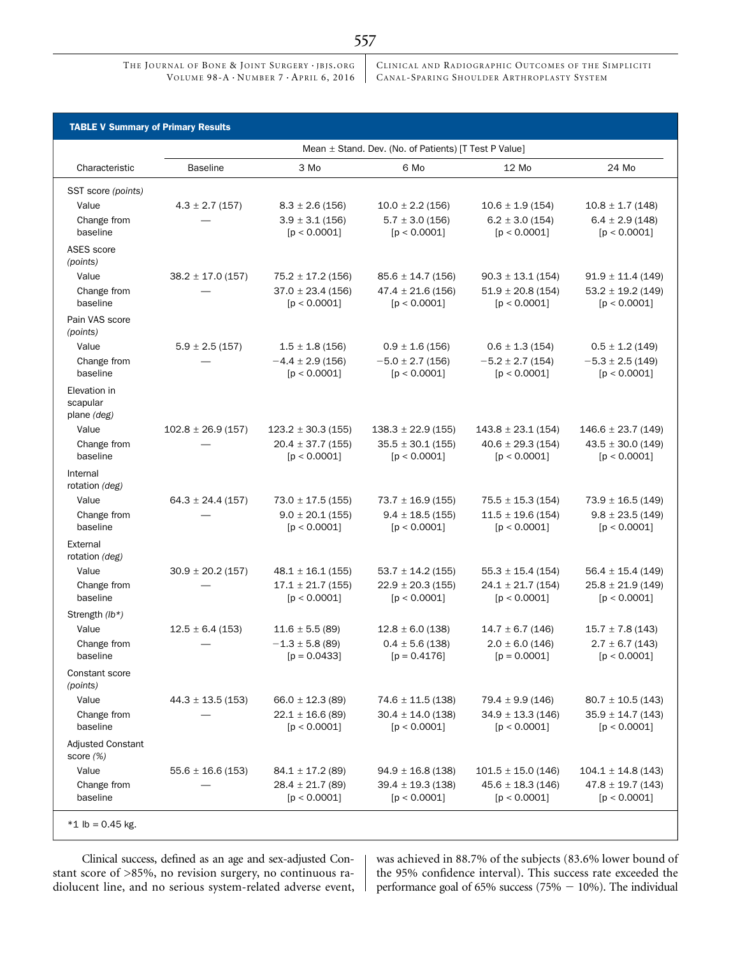CLINICAL AND RADIOGRAPHIC OUTCOMES OF THE SIMPLICITI CANAL-SPARING SHOULDER ARTHROPLASTY SYSTEM

## TABLE V Summary of Primary Results

|                                         | Mean ± Stand. Dev. (No. of Patients) [T Test P Value] |                                                            |                                                             |                                                             |                                                             |
|-----------------------------------------|-------------------------------------------------------|------------------------------------------------------------|-------------------------------------------------------------|-------------------------------------------------------------|-------------------------------------------------------------|
| Characteristic                          | <b>Baseline</b>                                       | 3 Mo                                                       | 6 Mo                                                        | 12 Mo                                                       | 24 Mo                                                       |
| SST score (points)                      |                                                       |                                                            |                                                             |                                                             |                                                             |
| Value<br>Change from<br>baseline        | $4.3 \pm 2.7$ (157)                                   | $8.3 \pm 2.6$ (156)<br>$3.9 \pm 3.1$ (156)<br>[p < 0.0001] | $10.0 \pm 2.2$ (156)<br>$5.7 \pm 3.0$ (156)<br>[p < 0.0001] | $10.6 \pm 1.9$ (154)<br>$6.2 \pm 3.0$ (154)<br>[p < 0.0001] | $10.8 \pm 1.7$ (148)<br>$6.4 \pm 2.9$ (148)<br>[p < 0.0001] |
| ASES score<br>(points)                  |                                                       |                                                            |                                                             |                                                             |                                                             |
| Value                                   | $38.2 \pm 17.0$ (157)                                 | $75.2 \pm 17.2$ (156)                                      | $85.6 \pm 14.7$ (156)                                       | $90.3 \pm 13.1$ (154)                                       | $91.9 \pm 11.4$ (149)                                       |
| Change from<br>baseline                 |                                                       | $37.0 \pm 23.4$ (156)<br>[p < 0.0001]                      | $47.4 \pm 21.6$ (156)<br>[p < 0.0001]                       | $51.9 \pm 20.8$ (154)<br>[p < 0.0001]                       | $53.2 \pm 19.2$ (149)<br>[p < 0.0001]                       |
| Pain VAS score<br>(points)              |                                                       |                                                            |                                                             |                                                             |                                                             |
| Value                                   | $5.9 \pm 2.5$ (157)                                   | $1.5 \pm 1.8$ (156)                                        | $0.9 \pm 1.6$ (156)                                         | $0.6 \pm 1.3$ (154)                                         | $0.5 \pm 1.2$ (149)                                         |
| Change from<br>baseline                 |                                                       | $-4.4 \pm 2.9$ (156)<br>[p < 0.0001]                       | $-5.0 \pm 2.7$ (156)<br>[p < 0.0001]                        | $-5.2 \pm 2.7$ (154)<br>[p < 0.0001]                        | $-5.3 \pm 2.5$ (149)<br>[p < 0.0001]                        |
| Elevation in<br>scapular<br>plane (deg) |                                                       |                                                            |                                                             |                                                             |                                                             |
| Value                                   | $102.8 \pm 26.9$ (157)                                | $123.2 \pm 30.3$ (155)                                     | $138.3 \pm 22.9$ (155)                                      | $143.8 \pm 23.1$ (154)                                      | $146.6 \pm 23.7$ (149)                                      |
| Change from<br>baseline                 |                                                       | $20.4 \pm 37.7(155)$<br>[p < 0.0001]                       | $35.5 \pm 30.1$ (155)<br>[p < 0.0001]                       | $40.6 \pm 29.3(154)$<br>[p < 0.0001]                        | $43.5 \pm 30.0$ (149)<br>[p < 0.0001]                       |
| Internal<br>rotation (deg)              |                                                       |                                                            |                                                             |                                                             |                                                             |
| Value                                   | $64.3 \pm 24.4$ (157)                                 | $73.0 \pm 17.5$ (155)                                      | $73.7 \pm 16.9$ (155)                                       | $75.5 \pm 15.3$ (154)                                       | $73.9 \pm 16.5$ (149)                                       |
| Change from<br>baseline                 |                                                       | $9.0 \pm 20.1$ (155)<br>[p < 0.0001]                       | $9.4 \pm 18.5$ (155)<br>[p < 0.0001]                        | $11.5 \pm 19.6$ (154)<br>[p < 0.0001]                       | $9.8 \pm 23.5$ (149)<br>[p < 0.0001]                        |
| External<br>rotation (deg)              |                                                       |                                                            |                                                             |                                                             |                                                             |
| Value                                   | $30.9 \pm 20.2$ (157)                                 | $48.1 \pm 16.1$ (155)                                      | $53.7 \pm 14.2$ (155)                                       | $55.3 \pm 15.4$ (154)                                       | $56.4 \pm 15.4$ (149)                                       |
| Change from<br>baseline                 |                                                       | $17.1 \pm 21.7$ (155)<br>[p < 0.0001]                      | $22.9 \pm 20.3$ (155)<br>[p < 0.0001]                       | $24.1 \pm 21.7$ (154)<br>[p < 0.0001]                       | $25.8 \pm 21.9$ (149)<br>[p < 0.0001]                       |
| Strength (lb*)                          |                                                       |                                                            |                                                             |                                                             |                                                             |
| Value                                   | $12.5 \pm 6.4$ (153)                                  | $11.6 \pm 5.5$ (89)                                        | $12.8 \pm 6.0$ (138)                                        | $14.7 \pm 6.7$ (146)                                        | $15.7 \pm 7.8$ (143)                                        |
| Change from<br>baseline                 |                                                       | $-1.3 \pm 5.8$ (89)<br>$[p = 0.0433]$                      | $0.4 \pm 5.6$ (138)<br>$[p = 0.4176]$                       | $2.0 \pm 6.0$ (146)<br>$[p = 0.0001]$                       | $2.7 \pm 6.7$ (143)<br>[p < 0.0001]                         |
| <b>Constant score</b><br>(points)       |                                                       |                                                            |                                                             |                                                             |                                                             |
| Value                                   | $44.3 \pm 13.5$ (153)                                 | 66.0 $\pm$ 12.3 (89)                                       | $74.6 \pm 11.5$ (138)                                       | $79.4 \pm 9.9$ (146)                                        | $80.7 \pm 10.5$ (143)                                       |
| Change from<br>baseline                 |                                                       | $22.1 \pm 16.6$ (89)<br>[p < 0.0001]                       | $30.4 \pm 14.0$ (138)<br>[p < 0.0001]                       | $34.9 \pm 13.3$ (146)<br>[p < 0.0001]                       | $35.9 \pm 14.7$ (143)<br>[p < 0.0001]                       |
| <b>Adjusted Constant</b><br>score (%)   |                                                       |                                                            |                                                             |                                                             |                                                             |
| Value                                   | $55.6 \pm 16.6$ (153)                                 | $84.1 \pm 17.2$ (89)                                       | $94.9 \pm 16.8$ (138)                                       | $101.5 \pm 15.0$ (146)                                      | $104.1 \pm 14.8$ (143)                                      |
| Change from<br>baseline                 |                                                       | $28.4 \pm 21.7$ (89)<br>[p < 0.0001]                       | $39.4 \pm 19.3$ (138)<br>[p < 0.0001]                       | $45.6 \pm 18.3$ (146)<br>[p < 0.0001]                       | $47.8 \pm 19.7$ (143)<br>[p < 0.0001]                       |
| $*1$ lb = 0.45 kg.                      |                                                       |                                                            |                                                             |                                                             |                                                             |

Clinical success, defined as an age and sex-adjusted Constant score of >85%, no revision surgery, no continuous radiolucent line, and no serious system-related adverse event, was achieved in 88.7% of the subjects (83.6% lower bound of the 95% confidence interval). This success rate exceeded the performance goal of 65% success (75%  $-$  10%). The individual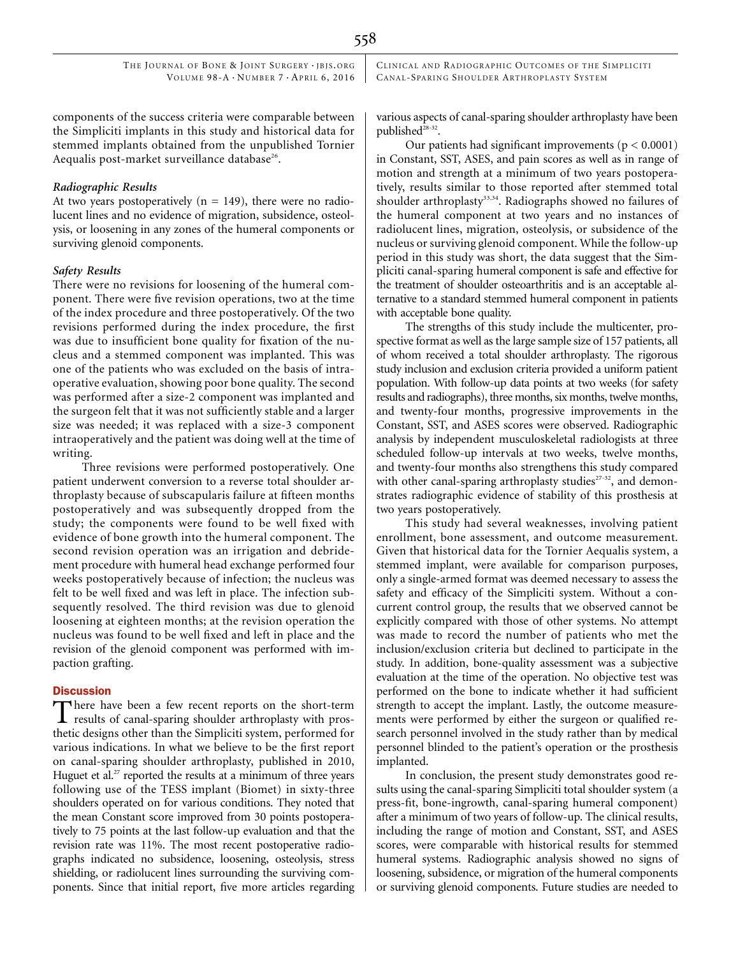components of the success criteria were comparable between the Simpliciti implants in this study and historical data for stemmed implants obtained from the unpublished Tornier Aequalis post-market surveillance database<sup>26</sup>.

### Radiographic Results

At two years postoperatively ( $n = 149$ ), there were no radiolucent lines and no evidence of migration, subsidence, osteolysis, or loosening in any zones of the humeral components or surviving glenoid components.

## Safety Results

There were no revisions for loosening of the humeral component. There were five revision operations, two at the time of the index procedure and three postoperatively. Of the two revisions performed during the index procedure, the first was due to insufficient bone quality for fixation of the nucleus and a stemmed component was implanted. This was one of the patients who was excluded on the basis of intraoperative evaluation, showing poor bone quality. The second was performed after a size-2 component was implanted and the surgeon felt that it was not sufficiently stable and a larger size was needed; it was replaced with a size-3 component intraoperatively and the patient was doing well at the time of writing.

Three revisions were performed postoperatively. One patient underwent conversion to a reverse total shoulder arthroplasty because of subscapularis failure at fifteen months postoperatively and was subsequently dropped from the study; the components were found to be well fixed with evidence of bone growth into the humeral component. The second revision operation was an irrigation and debridement procedure with humeral head exchange performed four weeks postoperatively because of infection; the nucleus was felt to be well fixed and was left in place. The infection subsequently resolved. The third revision was due to glenoid loosening at eighteen months; at the revision operation the nucleus was found to be well fixed and left in place and the revision of the glenoid component was performed with impaction grafting.

#### **Discussion**

There have been a few recent reports on the short-term<br>results of canal-sparing shoulder arthroplasty with prosthetic designs other than the Simpliciti system, performed for various indications. In what we believe to be the first report on canal-sparing shoulder arthroplasty, published in 2010, Huguet et al.<sup>27</sup> reported the results at a minimum of three years following use of the TESS implant (Biomet) in sixty-three shoulders operated on for various conditions. They noted that the mean Constant score improved from 30 points postoperatively to 75 points at the last follow-up evaluation and that the revision rate was 11%. The most recent postoperative radiographs indicated no subsidence, loosening, osteolysis, stress shielding, or radiolucent lines surrounding the surviving components. Since that initial report, five more articles regarding CLINICAL AND RADIOGRAPHIC OUTCOMES OF THE SIMPLICITI CANAL-SPARING SHOULDER ARTHROPLASTY SYSTEM

various aspects of canal-sparing shoulder arthroplasty have been published<sup>28-32</sup>.

Our patients had significant improvements ( $p < 0.0001$ ) in Constant, SST, ASES, and pain scores as well as in range of motion and strength at a minimum of two years postoperatively, results similar to those reported after stemmed total shoulder arthroplasty<sup>33,34</sup>. Radiographs showed no failures of the humeral component at two years and no instances of radiolucent lines, migration, osteolysis, or subsidence of the nucleus or surviving glenoid component. While the follow-up period in this study was short, the data suggest that the Simpliciti canal-sparing humeral component is safe and effective for the treatment of shoulder osteoarthritis and is an acceptable alternative to a standard stemmed humeral component in patients with acceptable bone quality.

The strengths of this study include the multicenter, prospective format as well as the large sample size of 157 patients, all of whom received a total shoulder arthroplasty. The rigorous study inclusion and exclusion criteria provided a uniform patient population. With follow-up data points at two weeks (for safety results and radiographs), three months, six months, twelve months, and twenty-four months, progressive improvements in the Constant, SST, and ASES scores were observed. Radiographic analysis by independent musculoskeletal radiologists at three scheduled follow-up intervals at two weeks, twelve months, and twenty-four months also strengthens this study compared with other canal-sparing arthroplasty studies<sup>27-32</sup>, and demonstrates radiographic evidence of stability of this prosthesis at two years postoperatively.

This study had several weaknesses, involving patient enrollment, bone assessment, and outcome measurement. Given that historical data for the Tornier Aequalis system, a stemmed implant, were available for comparison purposes, only a single-armed format was deemed necessary to assess the safety and efficacy of the Simpliciti system. Without a concurrent control group, the results that we observed cannot be explicitly compared with those of other systems. No attempt was made to record the number of patients who met the inclusion/exclusion criteria but declined to participate in the study. In addition, bone-quality assessment was a subjective evaluation at the time of the operation. No objective test was performed on the bone to indicate whether it had sufficient strength to accept the implant. Lastly, the outcome measurements were performed by either the surgeon or qualified research personnel involved in the study rather than by medical personnel blinded to the patient's operation or the prosthesis implanted.

In conclusion, the present study demonstrates good results using the canal-sparing Simpliciti total shoulder system (a press-fit, bone-ingrowth, canal-sparing humeral component) after a minimum of two years of follow-up. The clinical results, including the range of motion and Constant, SST, and ASES scores, were comparable with historical results for stemmed humeral systems. Radiographic analysis showed no signs of loosening, subsidence, or migration of the humeral components or surviving glenoid components. Future studies are needed to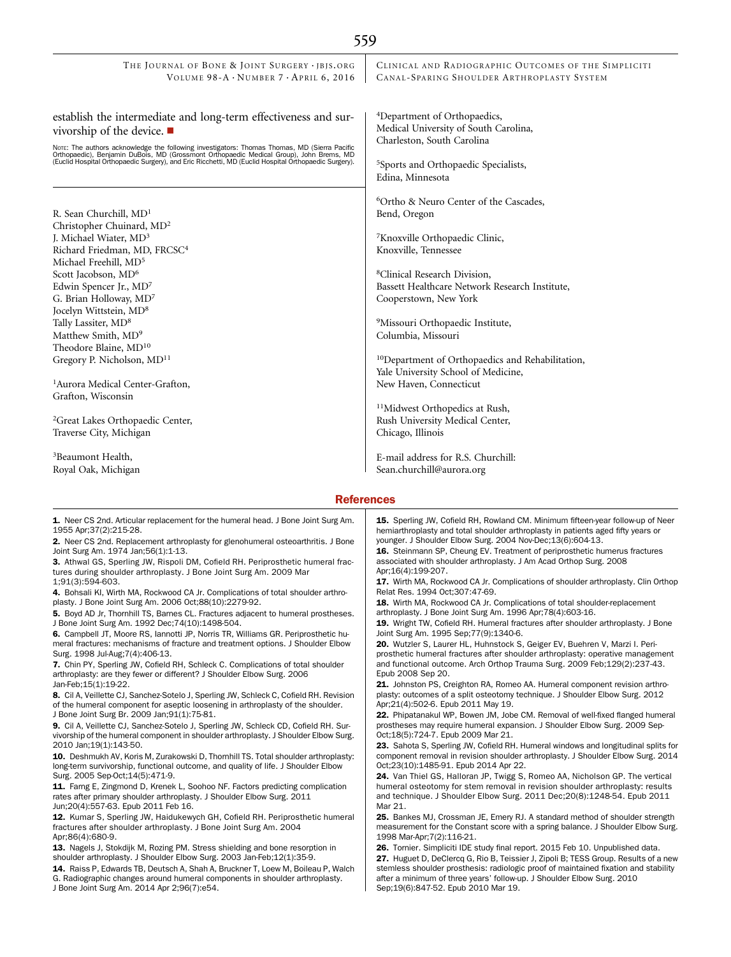|                                                                                                                                                                                                    | ノノフ                                                                                                                                      |  |
|----------------------------------------------------------------------------------------------------------------------------------------------------------------------------------------------------|------------------------------------------------------------------------------------------------------------------------------------------|--|
| THE JOURNAL OF BONE & JOINT SURGERY . JBJS.ORG                                                                                                                                                     | CLINICAL AND RADIOGRAPHIC OUTCOMES OF THE SIMPLICITI                                                                                     |  |
| VOLUME 98-A · NUMBER 7 · APRIL 6, 2016                                                                                                                                                             | CANAL-SPARING SHOULDER ARTHROPLASTY SYSTEM                                                                                               |  |
| establish the intermediate and long-term effectiveness and sur-                                                                                                                                    | <sup>4</sup> Department of Orthopaedics,                                                                                                 |  |
| vivorship of the device. ■                                                                                                                                                                         | Medical University of South Carolina,                                                                                                    |  |
| Note: The authors acknowledge the following investigators: Thomas Thomas, MD (Sierra Pacific                                                                                                       | Charleston, South Carolina                                                                                                               |  |
| Orthopaedic), Benjamin DuBois, MD (Grossmont Orthopaedic Medical Group), John Brems, MD                                                                                                            | <sup>5</sup> Sports and Orthopaedic Specialists,                                                                                         |  |
| (Euclid Hospital Orthopaedic Surgery), and Eric Ricchetti, MD (Euclid Hospital Orthopaedic Surgery).                                                                                               | Edina, Minnesota                                                                                                                         |  |
| R. Sean Churchill, MD <sup>1</sup><br>Christopher Chuinard, MD <sup>2</sup><br>J. Michael Wiater, MD <sup>3</sup><br>Richard Friedman, MD, FRCSC <sup>4</sup><br>Michael Freehill, MD <sup>5</sup> | <sup>6</sup> Ortho & Neuro Center of the Cascades,<br>Bend, Oregon<br><sup>7</sup> Knoxville Orthopaedic Clinic,<br>Knoxville, Tennessee |  |
| Scott Jacobson, MD <sup>6</sup><br>Edwin Spencer Jr., MD7<br>G. Brian Holloway, MD <sup>7</sup><br>Jocelyn Wittstein, MD <sup>8</sup>                                                              | <sup>8</sup> Clinical Research Division,<br>Bassett Healthcare Network Research Institute,<br>Cooperstown, New York                      |  |
| Tally Lassiter, MD <sup>8</sup><br>Matthew Smith, MD <sup>9</sup><br>Theodore Blaine, MD <sup>10</sup>                                                                                             | <sup>9</sup> Missouri Orthopaedic Institute,<br>Columbia, Missouri                                                                       |  |
| Gregory P. Nicholson, MD <sup>11</sup>                                                                                                                                                             | <sup>10</sup> Department of Orthopaedics and Rehabilitation,<br>Yale University School of Medicine,                                      |  |
| <sup>1</sup> Aurora Medical Center-Grafton,                                                                                                                                                        | New Haven, Connecticut                                                                                                                   |  |
| Grafton, Wisconsin                                                                                                                                                                                 | <sup>11</sup> Midwest Orthopedics at Rush,                                                                                               |  |
| <sup>2</sup> Great Lakes Orthopaedic Center,                                                                                                                                                       | Rush University Medical Center,                                                                                                          |  |
| Traverse City, Michigan                                                                                                                                                                            | Chicago, Illinois                                                                                                                        |  |
| <sup>3</sup> Beaumont Health,                                                                                                                                                                      | E-mail address for R.S. Churchill:                                                                                                       |  |
| Royal Oak, Michigan                                                                                                                                                                                | Sean.churchill@aurora.org                                                                                                                |  |

#### **References**

1. Neer CS 2nd. Articular replacement for the humeral head. J Bone Joint Surg Am. 1955 Apr;37(2):215-28.

2. Neer CS 2nd. Replacement arthroplasty for glenohumeral osteoarthritis. J Bone Joint Surg Am. 1974 Jan;56(1):1-13.

3. Athwal GS, Sperling JW, Rispoli DM, Cofield RH. Periprosthetic humeral fractures during shoulder arthroplasty. J Bone Joint Surg Am. 2009 Mar 1;91(3):594-603.

4. Bohsali KI, Wirth MA, Rockwood CA Jr. Complications of total shoulder arthroplasty. J Bone Joint Surg Am. 2006 Oct;88(10):2279-92.

5. Boyd AD Jr, Thornhill TS, Barnes CL. Fractures adjacent to humeral prostheses. J Bone Joint Surg Am. 1992 Dec;74(10):1498-504.

6. Campbell JT, Moore RS, Iannotti JP, Norris TR, Williams GR. Periprosthetic humeral fractures: mechanisms of fracture and treatment options. J Shoulder Elbow Surg. 1998 Jul-Aug;7(4):406-13.

7. Chin PY, Sperling JW, Cofield RH, Schleck C. Complications of total shoulder arthroplasty: are they fewer or different? J Shoulder Elbow Surg. 2006 Jan-Feb;15(1):19-22.

8. Cil A, Veillette CJ, Sanchez-Sotelo J, Sperling JW, Schleck C, Cofield RH. Revision of the humeral component for aseptic loosening in arthroplasty of the shoulder. J Bone Joint Surg Br. 2009 Jan;91(1):75-81.

9. Cil A, Veillette CJ, Sanchez-Sotelo J, Sperling JW, Schleck CD, Cofield RH. Survivorship of the humeral component in shoulder arthroplasty. J Shoulder Elbow Surg. 2010 Jan;19(1):143-50.

10. Deshmukh AV, Koris M, Zurakowski D, Thornhill TS. Total shoulder arthroplasty: long-term survivorship, functional outcome, and quality of life. J Shoulder Elbow Surg. 2005 Sep-Oct;14(5):471-9.

11. Farng E, Zingmond D, Krenek L, Soohoo NF. Factors predicting complication rates after primary shoulder arthroplasty. J Shoulder Elbow Surg. 2011 Jun;20(4):557-63. Epub 2011 Feb 16.

12. Kumar S, Sperling JW, Haidukewych GH, Cofield RH. Periprosthetic humeral fractures after shoulder arthroplasty. J Bone Joint Surg Am. 2004 Apr;86(4):680-9.

13. Nagels J, Stokdijk M, Rozing PM. Stress shielding and bone resorption in shoulder arthroplasty. J Shoulder Elbow Surg. 2003 Jan-Feb;12(1):35-9.

14. Raiss P, Edwards TB, Deutsch A, Shah A, Bruckner T, Loew M, Boileau P, Walch G. Radiographic changes around humeral components in shoulder arthroplasty. J Bone Joint Surg Am. 2014 Apr 2;96(7):e54.

15. Sperling JW, Cofield RH, Rowland CM. Minimum fifteen-year follow-up of Neer hemiarthroplasty and total shoulder arthroplasty in patients aged fifty years or younger. J Shoulder Elbow Surg. 2004 Nov-Dec;13(6):604-13.

16. Steinmann SP, Cheung EV. Treatment of periprosthetic humerus fractures associated with shoulder arthroplasty. J Am Acad Orthop Surg. 2008 Apr;16(4):199-207.

17. Wirth MA, Rockwood CA Jr. Complications of shoulder arthroplasty. Clin Orthop Relat Res. 1994 Oct;307:47-69.

18. Wirth MA, Rockwood CA Jr. Complications of total shoulder-replacement arthroplasty. J Bone Joint Surg Am. 1996 Apr;78(4):603-16.

19. Wright TW, Cofield RH. Humeral fractures after shoulder arthroplasty. J Bone Joint Surg Am. 1995 Sep;77(9):1340-6.

20. Wutzler S, Laurer HL, Huhnstock S, Geiger EV, Buehren V, Marzi I. Periprosthetic humeral fractures after shoulder arthroplasty: operative management and functional outcome. Arch Orthop Trauma Surg. 2009 Feb;129(2):237-43. Epub 2008 Sep 20.

21. Johnston PS, Creighton RA, Romeo AA. Humeral component revision arthroplasty: outcomes of a split osteotomy technique. J Shoulder Elbow Surg. 2012 Apr;21(4):502-6. Epub 2011 May 19.

22. Phipatanakul WP, Bowen JM, Jobe CM. Removal of well-fixed flanged humeral prostheses may require humeral expansion. J Shoulder Elbow Surg. 2009 Sep-Oct;18(5):724-7. Epub 2009 Mar 21.

23. Sahota S, Sperling JW, Cofield RH. Humeral windows and longitudinal splits for component removal in revision shoulder arthroplasty. J Shoulder Elbow Surg. 2014 Oct;23(10):1485-91. Epub 2014 Apr 22.

24. Van Thiel GS, Halloran JP, Twigg S, Romeo AA, Nicholson GP. The vertical humeral osteotomy for stem removal in revision shoulder arthroplasty: results and technique. J Shoulder Elbow Surg. 2011 Dec;20(8):1248-54. Epub 2011 Mar 21.

25. Bankes MJ, Crossman JE, Emery RJ. A standard method of shoulder strength measurement for the Constant score with a spring balance. J Shoulder Elbow Surg. 1998 Mar-Apr;7(2):116-21.

26. Tornier. Simpliciti IDE study final report. 2015 Feb 10. Unpublished data.

27. Huguet D, DeClercq G, Rio B, Teissier J, Zipoli B; TESS Group. Results of a new stemless shoulder prosthesis: radiologic proof of maintained fixation and stability after a minimum of three years' follow-up. J Shoulder Elbow Surg. 2010 Sep;19(6):847-52. Epub 2010 Mar 19.